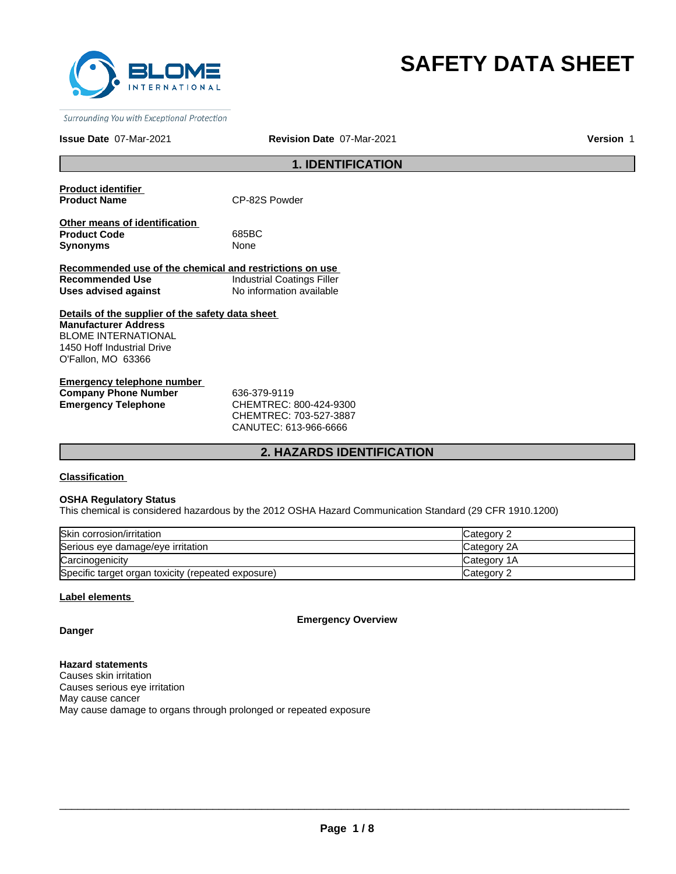

# **SAFETY DATA SHEET**

Surrounding You with Exceptional Protection

### **Issue Date** 07-Mar-2021

**Revision Date** 07-Mar-2021 **Version** 1

# **1. IDENTIFICATION**

**Product identifier** 

**CP-82S Powder** 

**Other means of identification Product Code** 685BC **Synonyms** None

**Recommended use of the chemical and restrictions on use Recommended Use Industrial Coatings Filler Uses advised against** No information available

**Details of the supplier of the safety data sheet Manufacturer Address** BLOME INTERNATIONAL 1450 Hoff Industrial Drive O'Fallon, MO 63366

**Emergency telephone number Company Phone Number** 636-379-9119 **Emergency Telephone** CHEMTREC: 800-424-9300

CHEMTREC: 703-527-3887 CANUTEC: 613-966-6666

# **2. HAZARDS IDENTIFICATION**

**Classification** 

### **OSHA Regulatory Status**

This chemical is considered hazardous by the 2012 OSHA Hazard Communication Standard (29 CFR 1910.1200)

| Skin corrosion/irritation                          | Category 2  |
|----------------------------------------------------|-------------|
| Serious eye damage/eye irritation                  | Category 2A |
| Carcinogenicity                                    | Category 1A |
| Specific target organ toxicity (repeated exposure) | Category 2  |

### **Label elements**

**Emergency Overview**

**Danger**

**Hazard statements** Causes skin irritation Causes serious eye irritation May cause cancer May cause damage to organs through prolonged or repeated exposure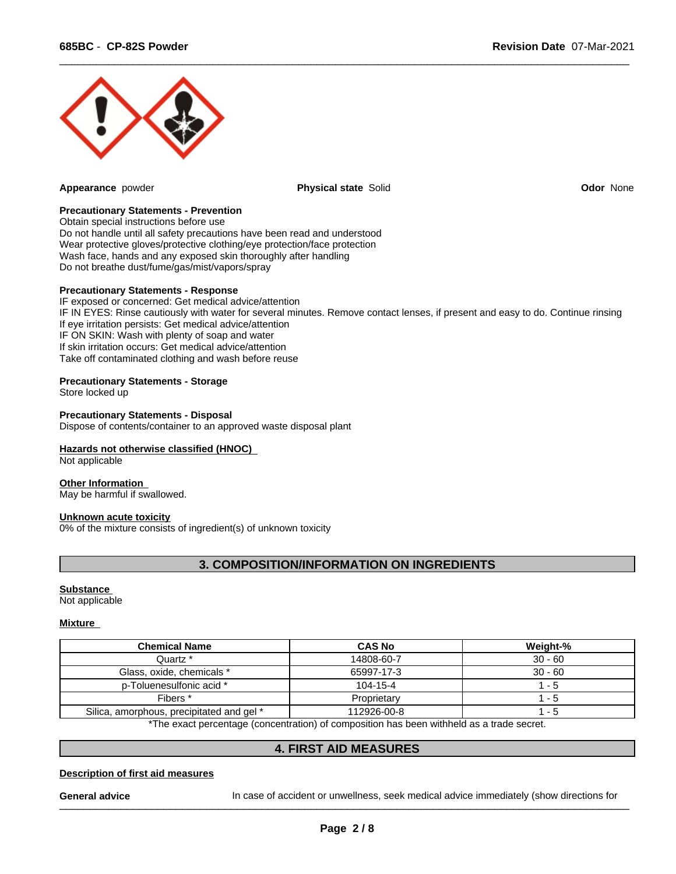

**Appearance** powder **Physical state** Solid **Odor** None

 $\overline{\phantom{a}}$  ,  $\overline{\phantom{a}}$  ,  $\overline{\phantom{a}}$  ,  $\overline{\phantom{a}}$  ,  $\overline{\phantom{a}}$  ,  $\overline{\phantom{a}}$  ,  $\overline{\phantom{a}}$  ,  $\overline{\phantom{a}}$  ,  $\overline{\phantom{a}}$  ,  $\overline{\phantom{a}}$  ,  $\overline{\phantom{a}}$  ,  $\overline{\phantom{a}}$  ,  $\overline{\phantom{a}}$  ,  $\overline{\phantom{a}}$  ,  $\overline{\phantom{a}}$  ,  $\overline{\phantom{a}}$ 

### **Precautionary Statements - Prevention**

Obtain special instructions before use Do not handle until all safety precautions have been read and understood Wear protective gloves/protective clothing/eye protection/face protection Wash face, hands and any exposed skin thoroughly after handling Do not breathe dust/fume/gas/mist/vapors/spray

### **Precautionary Statements - Response**

IF exposed or concerned: Get medical advice/attention IF IN EYES: Rinse cautiously with water for several minutes. Remove contact lenses, if present and easy to do. Continue rinsing If eye irritation persists: Get medical advice/attention IF ON SKIN: Wash with plenty of soap and water If skin irritation occurs: Get medical advice/attention Take off contaminated clothing and wash before reuse

# **Precautionary Statements - Storage**

Store locked up

### **Precautionary Statements - Disposal**

Dispose of contents/container to an approved waste disposal plant

# **Hazards not otherwise classified (HNOC)**

Not applicable

### **Other Information**

May be harmful if swallowed.

# **Unknown acute toxicity**

0% of the mixture consists of ingredient(s) of unknown toxicity

# **3. COMPOSITION/INFORMATION ON INGREDIENTS**

### **Substance**

Not applicable

# **Mixture**

| Chemical Name                             | <b>CAS No</b> | Weight-%  |
|-------------------------------------------|---------------|-----------|
| Quartz *                                  | 14808-60-7    | $30 - 60$ |
| Glass, oxide, chemicals *                 | 65997-17-3    | $30 - 60$ |
| p-Toluenesulfonic acid *                  | 104-15-4      | - 5       |
| Fibers <sup>*</sup>                       | Proprietary   | - 5       |
| Silica, amorphous, precipitated and gel * | 112926-00-8   | - 5       |

\*The exact percentage (concentration) of composition has been withheld as a trade secret.

# **4. FIRST AID MEASURES**

### **Description of first aid measures**

General advice **Incase of accident or unwellness**, seek medical advice immediately (show directions for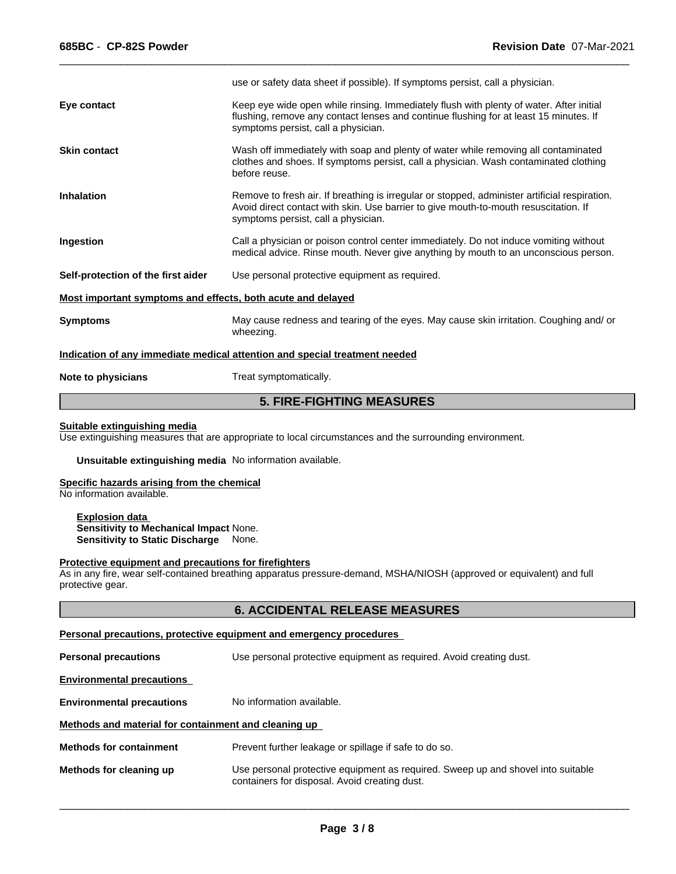|                                                             | use or safety data sheet if possible). If symptoms persist, call a physician.                                                                                                                                                |
|-------------------------------------------------------------|------------------------------------------------------------------------------------------------------------------------------------------------------------------------------------------------------------------------------|
| Eye contact                                                 | Keep eye wide open while rinsing. Immediately flush with plenty of water. After initial<br>flushing, remove any contact lenses and continue flushing for at least 15 minutes. If<br>symptoms persist, call a physician.      |
| <b>Skin contact</b>                                         | Wash off immediately with soap and plenty of water while removing all contaminated<br>clothes and shoes. If symptoms persist, call a physician. Wash contaminated clothing<br>before reuse.                                  |
| <b>Inhalation</b>                                           | Remove to fresh air. If breathing is irregular or stopped, administer artificial respiration.<br>Avoid direct contact with skin. Use barrier to give mouth-to-mouth resuscitation. If<br>symptoms persist, call a physician. |
| Ingestion                                                   | Call a physician or poison control center immediately. Do not induce vomiting without<br>medical advice. Rinse mouth. Never give anything by mouth to an unconscious person.                                                 |
| Self-protection of the first aider                          | Use personal protective equipment as required.                                                                                                                                                                               |
| Most important symptoms and effects, both acute and delayed |                                                                                                                                                                                                                              |
| <b>Symptoms</b>                                             | May cause redness and tearing of the eyes. May cause skin irritation. Coughing and/or<br>wheezing.                                                                                                                           |
|                                                             | Indication of any immediate medical attention and special treatment needed                                                                                                                                                   |
| Note to physicians                                          | Treat symptomatically.                                                                                                                                                                                                       |

 $\overline{\phantom{a}}$  ,  $\overline{\phantom{a}}$  ,  $\overline{\phantom{a}}$  ,  $\overline{\phantom{a}}$  ,  $\overline{\phantom{a}}$  ,  $\overline{\phantom{a}}$  ,  $\overline{\phantom{a}}$  ,  $\overline{\phantom{a}}$  ,  $\overline{\phantom{a}}$  ,  $\overline{\phantom{a}}$  ,  $\overline{\phantom{a}}$  ,  $\overline{\phantom{a}}$  ,  $\overline{\phantom{a}}$  ,  $\overline{\phantom{a}}$  ,  $\overline{\phantom{a}}$  ,  $\overline{\phantom{a}}$ 

# **5. FIRE-FIGHTING MEASURES**

# **Suitable extinguishing media**

Use extinguishing measures that are appropriate to local circumstances and the surrounding environment.

**Unsuitable extinguishing media** No information available.

### **Specific hazards arising from the chemical**

No information available.

**Explosion data Sensitivity to Mechanical Impact** None. **Sensitivity to Static Discharge** None.

### **Protective equipment and precautions for firefighters**

As in any fire, wear self-contained breathing apparatus pressure-demand, MSHA/NIOSH (approved or equivalent) and full protective gear.

# **6. ACCIDENTAL RELEASE MEASURES**

# **Personal precautions, protective equipment and emergency procedures**

**Personal precautions** Use personal protective equipment as required. Avoid creating dust.

# **Environmental precautions**

**Environmental precautions** No information available.

# **Methods and material for containment and cleaning up**

| <b>Methods for containment</b> | Prevent further leakage or spillage if safe to do so.                                                                             |
|--------------------------------|-----------------------------------------------------------------------------------------------------------------------------------|
| Methods for cleaning up        | Use personal protective equipment as required. Sweep up and shovel into suitable<br>containers for disposal. Avoid creating dust. |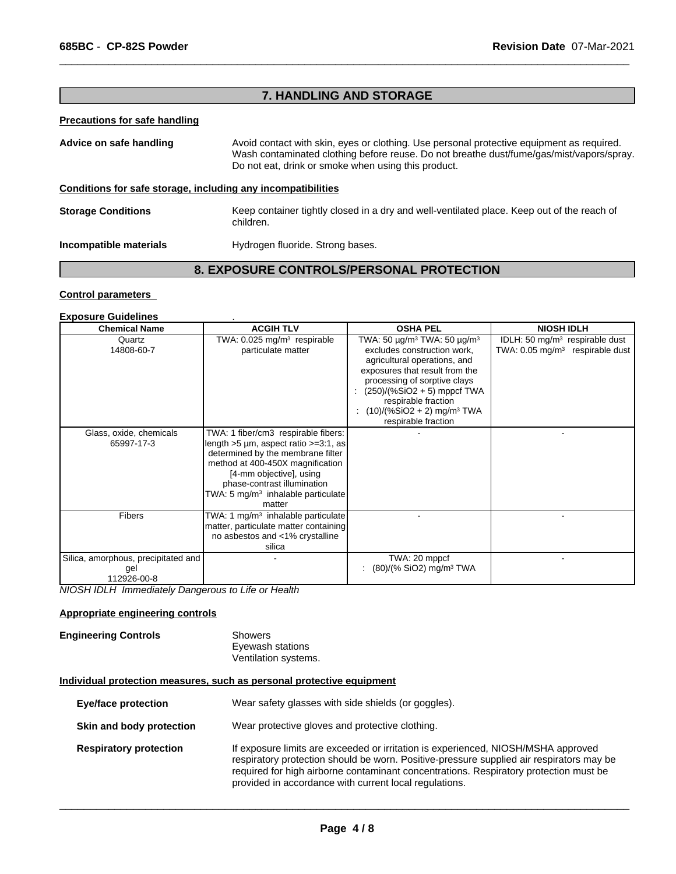# **7. HANDLING AND STORAGE**

 $\overline{\phantom{a}}$  ,  $\overline{\phantom{a}}$  ,  $\overline{\phantom{a}}$  ,  $\overline{\phantom{a}}$  ,  $\overline{\phantom{a}}$  ,  $\overline{\phantom{a}}$  ,  $\overline{\phantom{a}}$  ,  $\overline{\phantom{a}}$  ,  $\overline{\phantom{a}}$  ,  $\overline{\phantom{a}}$  ,  $\overline{\phantom{a}}$  ,  $\overline{\phantom{a}}$  ,  $\overline{\phantom{a}}$  ,  $\overline{\phantom{a}}$  ,  $\overline{\phantom{a}}$  ,  $\overline{\phantom{a}}$ 

# **Precautions for safe handling**

| Advice on safe handling                                      | Avoid contact with skin, eyes or clothing. Use personal protective equipment as required.<br>Wash contaminated clothing before reuse. Do not breathe dust/fume/gas/mist/vapors/spray.<br>Do not eat, drink or smoke when using this product. |
|--------------------------------------------------------------|----------------------------------------------------------------------------------------------------------------------------------------------------------------------------------------------------------------------------------------------|
| Conditions for safe storage, including any incompatibilities |                                                                                                                                                                                                                                              |
| <b>Storage Conditions</b>                                    | Keep container tightly closed in a dry and well-ventilated place. Keep out of the reach of<br>children.                                                                                                                                      |
| Incompatible materials                                       | Hydrogen fluoride. Strong bases.                                                                                                                                                                                                             |

# **8. EXPOSURE CONTROLS/PERSONAL PROTECTION**

# **Control parameters**

# **Exposure Guidelines** .

| <b>Chemical Name</b>                                      | <b>ACGIH TLV</b>                                                                                                                                                                                                                                                          | <b>OSHA PEL</b>                                                                                                                                                                                                                                                                                                         | <b>NIOSH IDLH</b>                                                                        |
|-----------------------------------------------------------|---------------------------------------------------------------------------------------------------------------------------------------------------------------------------------------------------------------------------------------------------------------------------|-------------------------------------------------------------------------------------------------------------------------------------------------------------------------------------------------------------------------------------------------------------------------------------------------------------------------|------------------------------------------------------------------------------------------|
| Quartz<br>14808-60-7                                      | TWA: $0.025$ mg/m <sup>3</sup> respirable<br>particulate matter                                                                                                                                                                                                           | TWA: 50 $\mu$ g/m <sup>3</sup> TWA: 50 $\mu$ g/m <sup>3</sup><br>excludes construction work,<br>agricultural operations, and<br>exposures that result from the<br>processing of sorptive clays<br>(250)/(%SiO2 + 5) mppcf TWA<br>respirable fraction<br>$(10)/(%SiO2 + 2)$ mg/m <sup>3</sup> TWA<br>respirable fraction | IDLH: 50 mg/m <sup>3</sup> respirable dust<br>TWA: $0.05 \text{ mg/m}^3$ respirable dust |
| Glass, oxide, chemicals<br>65997-17-3                     | TWA: 1 fiber/cm3 respirable fibers:<br>length $>5 \mu m$ , aspect ratio $>=3:1$ , as<br>determined by the membrane filter<br>method at 400-450X magnification<br>[4-mm objective], using<br>phase-contrast illumination<br>TWA: 5 $mg/m3$ inhalable particulate<br>matter |                                                                                                                                                                                                                                                                                                                         |                                                                                          |
| <b>Fibers</b>                                             | TWA: 1 mg/m <sup>3</sup> inhalable particulate<br>matter, particulate matter containing<br>no asbestos and <1% crystalline<br>silica                                                                                                                                      |                                                                                                                                                                                                                                                                                                                         |                                                                                          |
| Silica, amorphous, precipitated and<br>gel<br>112926-00-8 |                                                                                                                                                                                                                                                                           | TWA: 20 mppcf<br>$(80)/(%$ SiO2) mg/m <sup>3</sup> TWA                                                                                                                                                                                                                                                                  |                                                                                          |

*NIOSH IDLH Immediately Dangerous to Life or Health*

# **Appropriate engineering controls**

# **Engineering Controls** Showers

Eyewash stations Ventilation systems.

# **Individual protection measures, such as personal protective equipment**

| <b>Eye/face protection</b>    | Wear safety glasses with side shields (or goggles).                                                                                                                                                                                                                                                                              |
|-------------------------------|----------------------------------------------------------------------------------------------------------------------------------------------------------------------------------------------------------------------------------------------------------------------------------------------------------------------------------|
| Skin and body protection      | Wear protective gloves and protective clothing.                                                                                                                                                                                                                                                                                  |
| <b>Respiratory protection</b> | If exposure limits are exceeded or irritation is experienced, NIOSH/MSHA approved<br>respiratory protection should be worn. Positive-pressure supplied air respirators may be<br>required for high airborne contaminant concentrations. Respiratory protection must be<br>provided in accordance with current local regulations. |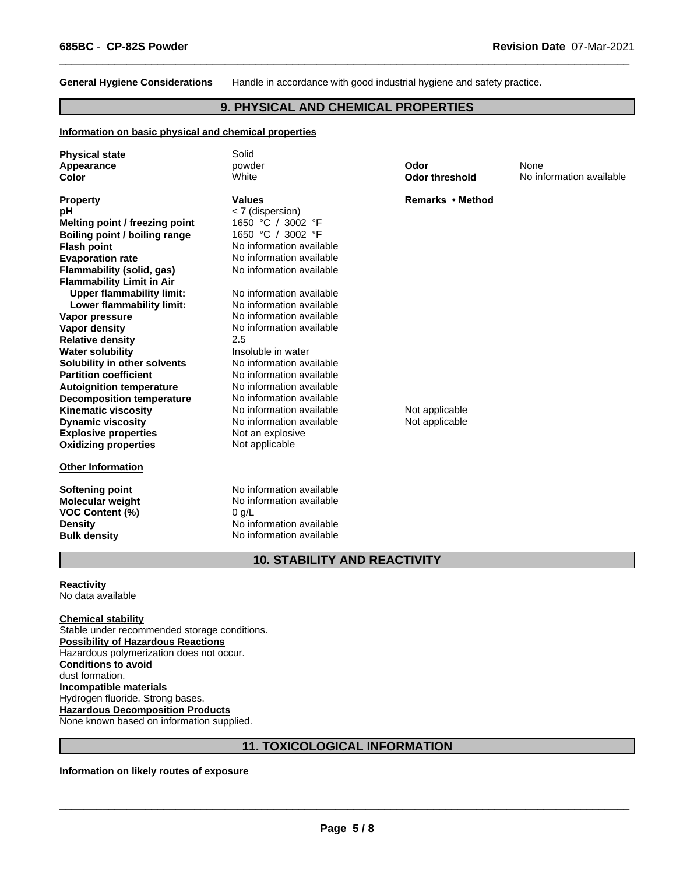**General Hygiene Considerations** Handle in accordance with good industrial hygiene and safety practice.

 $\overline{\phantom{a}}$  ,  $\overline{\phantom{a}}$  ,  $\overline{\phantom{a}}$  ,  $\overline{\phantom{a}}$  ,  $\overline{\phantom{a}}$  ,  $\overline{\phantom{a}}$  ,  $\overline{\phantom{a}}$  ,  $\overline{\phantom{a}}$  ,  $\overline{\phantom{a}}$  ,  $\overline{\phantom{a}}$  ,  $\overline{\phantom{a}}$  ,  $\overline{\phantom{a}}$  ,  $\overline{\phantom{a}}$  ,  $\overline{\phantom{a}}$  ,  $\overline{\phantom{a}}$  ,  $\overline{\phantom{a}}$ 

# **9. PHYSICAL AND CHEMICAL PROPERTIES**

### **Information on basic physical and chemical properties**

| <b>Physical state</b>            | Solid                    |                       |                          |
|----------------------------------|--------------------------|-----------------------|--------------------------|
| Appearance                       | powder                   | Odor                  | None                     |
| Color                            | White                    | <b>Odor threshold</b> | No information available |
| <b>Property</b>                  | <b>Values</b>            | Remarks • Method      |                          |
| рH                               | < 7 (dispersion)         |                       |                          |
| Melting point / freezing point   | 1650 °C / 3002 °F        |                       |                          |
| Boiling point / boiling range    | 1650 °C / 3002 °F        |                       |                          |
| <b>Flash point</b>               | No information available |                       |                          |
| <b>Evaporation rate</b>          | No information available |                       |                          |
| Flammability (solid, gas)        | No information available |                       |                          |
| <b>Flammability Limit in Air</b> |                          |                       |                          |
| <b>Upper flammability limit:</b> | No information available |                       |                          |
| Lower flammability limit:        | No information available |                       |                          |
| Vapor pressure                   | No information available |                       |                          |
| <b>Vapor density</b>             | No information available |                       |                          |
| <b>Relative density</b>          | 2.5                      |                       |                          |
| <b>Water solubility</b>          | Insoluble in water       |                       |                          |
| Solubility in other solvents     | No information available |                       |                          |
| <b>Partition coefficient</b>     | No information available |                       |                          |
| <b>Autoignition temperature</b>  | No information available |                       |                          |
| <b>Decomposition temperature</b> | No information available |                       |                          |
| <b>Kinematic viscosity</b>       | No information available | Not applicable        |                          |
| <b>Dynamic viscosity</b>         | No information available | Not applicable        |                          |
| <b>Explosive properties</b>      | Not an explosive         |                       |                          |
| <b>Oxidizing properties</b>      | Not applicable           |                       |                          |
| <b>Other Information</b>         |                          |                       |                          |
| <b>Softening point</b>           | No information available |                       |                          |
| <b>Molecular weight</b>          | No information available |                       |                          |
| <b>VOC Content (%)</b>           | 0 g/L                    |                       |                          |
| <b>Density</b>                   | No information available |                       |                          |
| <b>Bulk density</b>              | No information available |                       |                          |

# **10. STABILITY AND REACTIVITY**

### **Reactivity**  No data available

**Chemical stability** Stable under recommended storage conditions. **Possibility of Hazardous Reactions** Hazardous polymerization does not occur. **Conditions to avoid** dust formation. **Incompatible materials** Hydrogen fluoride. Strong bases. **Hazardous Decomposition Products** None known based on information supplied.

# **11. TOXICOLOGICAL INFORMATION**

**Information on likely routes of exposure**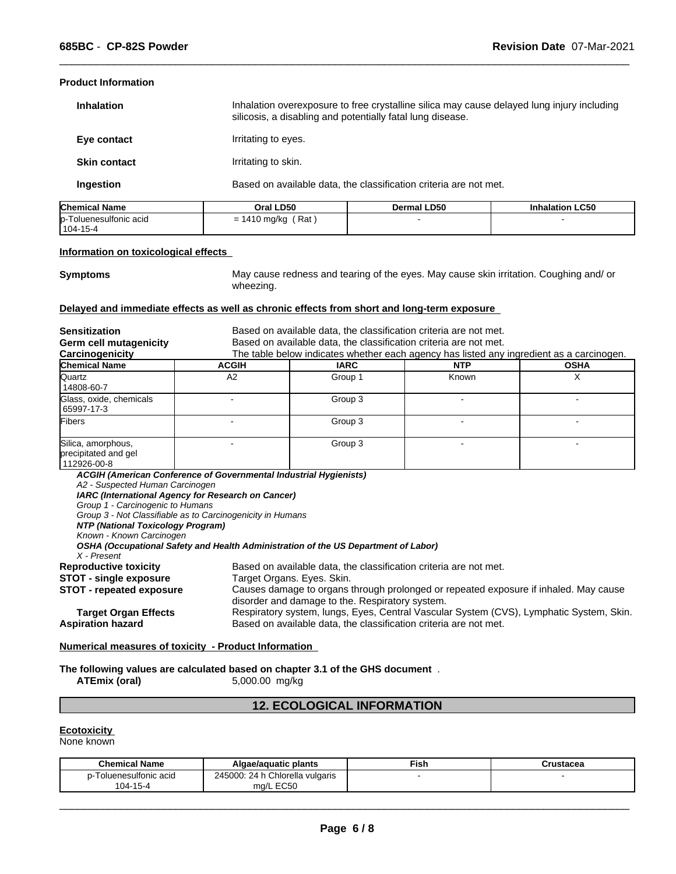# **Product Information**

| <b>Inhalation</b>   | Inhalation overexposure to free crystalline silica may cause delayed lung injury including<br>silicosis, a disabling and potentially fatal lung disease. |
|---------------------|----------------------------------------------------------------------------------------------------------------------------------------------------------|
| Eye contact         | Irritating to eyes.                                                                                                                                      |
| <b>Skin contact</b> | Irritating to skin.                                                                                                                                      |
| Ingestion           | Based on available data, the classification criteria are not met.                                                                                        |

| <b>Chemica</b><br>Name                  | <b>LD50</b><br>Dral          | ∟D50<br>Dermal I | alation LC50 |
|-----------------------------------------|------------------------------|------------------|--------------|
| $\mathsf{ID}$ -<br>Toluenesulfonic acid | Rat<br>, mark<br>, myky<br>ື |                  |              |
| $'104-15-4$                             |                              |                  |              |

### **Information on toxicological effects**

**Symptoms** May cause redness and tearing of the eyes. May cause skin irritation. Coughing and/ or wheezing.

 $\overline{\phantom{a}}$  ,  $\overline{\phantom{a}}$  ,  $\overline{\phantom{a}}$  ,  $\overline{\phantom{a}}$  ,  $\overline{\phantom{a}}$  ,  $\overline{\phantom{a}}$  ,  $\overline{\phantom{a}}$  ,  $\overline{\phantom{a}}$  ,  $\overline{\phantom{a}}$  ,  $\overline{\phantom{a}}$  ,  $\overline{\phantom{a}}$  ,  $\overline{\phantom{a}}$  ,  $\overline{\phantom{a}}$  ,  $\overline{\phantom{a}}$  ,  $\overline{\phantom{a}}$  ,  $\overline{\phantom{a}}$ 

# **Delayed and immediate effects as well as chronic effects from short and long-term exposure**

| <b>Sensitization</b>                                                                                                                                |                                                                                                                                                                                                                                                                                                                                       | Based on available data, the classification criteria are not met. |                                                                                          |             |  |  |
|-----------------------------------------------------------------------------------------------------------------------------------------------------|---------------------------------------------------------------------------------------------------------------------------------------------------------------------------------------------------------------------------------------------------------------------------------------------------------------------------------------|-------------------------------------------------------------------|------------------------------------------------------------------------------------------|-------------|--|--|
| Germ cell mutagenicity                                                                                                                              |                                                                                                                                                                                                                                                                                                                                       | Based on available data, the classification criteria are not met. |                                                                                          |             |  |  |
| Carcinogenicity                                                                                                                                     |                                                                                                                                                                                                                                                                                                                                       |                                                                   | The table below indicates whether each agency has listed any ingredient as a carcinogen. |             |  |  |
| <b>Chemical Name</b>                                                                                                                                | <b>ACGIH</b>                                                                                                                                                                                                                                                                                                                          | <b>IARC</b>                                                       | <b>NTP</b>                                                                               | <b>OSHA</b> |  |  |
| Quartz<br>14808-60-7                                                                                                                                | A2                                                                                                                                                                                                                                                                                                                                    | Group 1                                                           | Known                                                                                    | X           |  |  |
| Glass, oxide, chemicals<br>65997-17-3                                                                                                               |                                                                                                                                                                                                                                                                                                                                       | Group 3                                                           |                                                                                          |             |  |  |
| Fibers                                                                                                                                              |                                                                                                                                                                                                                                                                                                                                       | Group 3                                                           |                                                                                          |             |  |  |
| Silica, amorphous,<br>precipitated and gel<br>112926-00-8                                                                                           |                                                                                                                                                                                                                                                                                                                                       | Group 3                                                           |                                                                                          |             |  |  |
| A2 - Suspected Human Carcinogen<br>Group 1 - Carcinogenic to Humans<br>NTP (National Toxicology Program)<br>Known - Known Carcinogen<br>X - Present | IARC (International Agency for Research on Cancer)<br>Group 3 - Not Classifiable as to Carcinogenicity in Humans<br>OSHA (Occupational Safety and Health Administration of the US Department of Labor)                                                                                                                                |                                                                   |                                                                                          |             |  |  |
| <b>Reproductive toxicity</b><br>STOT - single exposure<br><b>STOT - repeated exposure</b><br><b>Target Organ Effects</b>                            | Based on available data, the classification criteria are not met.<br>Target Organs. Eyes. Skin.<br>Causes damage to organs through prolonged or repeated exposure if inhaled. May cause<br>disorder and damage to the. Respiratory system.<br>Respiratory system, lungs, Eyes, Central Vascular System (CVS), Lymphatic System, Skin. |                                                                   |                                                                                          |             |  |  |
| <b>Aspiration hazard</b>                                                                                                                            | Based on available data, the classification criteria are not met.                                                                                                                                                                                                                                                                     |                                                                   |                                                                                          |             |  |  |

# **Numerical measures of toxicity - Product Information**

# **The following values are calculated based on chapter 3.1 of the GHS document** . **ATEmix (oral)** 5,000.00 mg/kg

**ATEmix (oral)** 5,000.00 mg/kg

# **12. ECOLOGICAL INFORMATION**

# **Ecotoxicity**

None known

| <b>Chemical Name</b> | Algae/aguatic plants                         | ™ish | ructocog<br>urustacea |  |
|----------------------|----------------------------------------------|------|-----------------------|--|
| Foluenesulfonic acid | ı Chlorella vulgaris<br>245000:<br>$-24$ h C |      |                       |  |
| 104-15-4             | EC50<br>ma/L<br>LUJU                         |      |                       |  |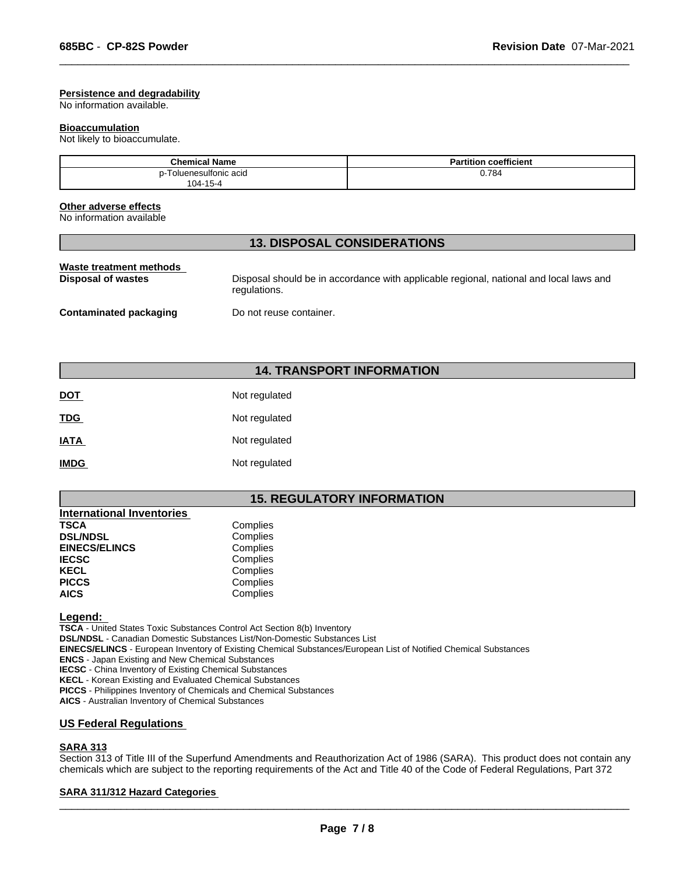### **Persistence and degradability**

No information available.

### **Bioaccumulation**

Not likely to bioaccumulate.

| <b>Chemical Name</b>                                  | coefficient<br>Partition |
|-------------------------------------------------------|--------------------------|
| <sup>-</sup> oluenesulfonic acid<br>104-15-<br>. 15-4 | 0.784                    |

 $\overline{\phantom{a}}$  ,  $\overline{\phantom{a}}$  ,  $\overline{\phantom{a}}$  ,  $\overline{\phantom{a}}$  ,  $\overline{\phantom{a}}$  ,  $\overline{\phantom{a}}$  ,  $\overline{\phantom{a}}$  ,  $\overline{\phantom{a}}$  ,  $\overline{\phantom{a}}$  ,  $\overline{\phantom{a}}$  ,  $\overline{\phantom{a}}$  ,  $\overline{\phantom{a}}$  ,  $\overline{\phantom{a}}$  ,  $\overline{\phantom{a}}$  ,  $\overline{\phantom{a}}$  ,  $\overline{\phantom{a}}$ 

### **Other adverse effects**

No information available

# **13. DISPOSAL CONSIDERATIONS**

| Waste treatment methods       | Disposal should be in accordance with applicable regional, national and local laws and |
|-------------------------------|----------------------------------------------------------------------------------------|
| Disposal of wastes            | regulations.                                                                           |
| <b>Contaminated packaging</b> | Do not reuse container.                                                                |

# **14. TRANSPORT INFORMATION**

| <b>DOT</b>  | Not regulated |
|-------------|---------------|
| <b>TDG</b>  | Not regulated |
| <b>IATA</b> | Not regulated |
| <b>IMDG</b> | Not regulated |

# **15. REGULATORY INFORMATION**

| <b>International Inventories</b> |          |
|----------------------------------|----------|
| <b>TSCA</b>                      | Complies |
| <b>DSL/NDSL</b>                  | Complies |
| <b>EINECS/ELINCS</b>             | Complies |
| <b>IECSC</b>                     | Complies |
| <b>KECL</b>                      | Complies |
| <b>PICCS</b>                     | Complies |
| <b>AICS</b>                      | Complies |
|                                  |          |

**Legend:** 

**TSCA** - United States Toxic Substances Control Act Section 8(b) Inventory **DSL/NDSL** - Canadian Domestic Substances List/Non-Domestic Substances List **EINECS/ELINCS** - European Inventory of Existing Chemical Substances/European List of Notified Chemical Substances **ENCS** - Japan Existing and New Chemical Substances **IECSC** - China Inventory of Existing Chemical Substances **KECL** - Korean Existing and Evaluated Chemical Substances **PICCS** - Philippines Inventory of Chemicals and Chemical Substances **AICS** - Australian Inventory of Chemical Substances

# **US Federal Regulations**

# **SARA 313**

Section 313 of Title III of the Superfund Amendments and Reauthorization Act of 1986 (SARA). This product does not contain any chemicals which are subject to the reporting requirements of the Act and Title 40 of the Code of Federal Regulations, Part 372

# **SARA 311/312 Hazard Categories**